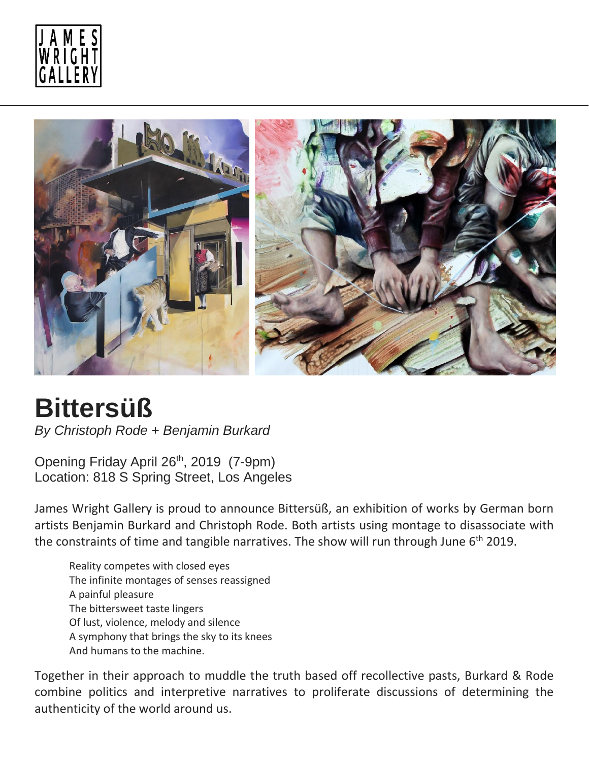



## **Bittersüß**

*By Christoph Rode + Benjamin Burkard*

Opening Friday April 26<sup>th</sup>, 2019 (7-9pm) Location: 818 S Spring Street, Los Angeles

James Wright Gallery is proud to announce Bittersüß, an exhibition of works by German born artists Benjamin Burkard and Christoph Rode. Both artists using montage to disassociate with the constraints of time and tangible narratives. The show will run through June  $6<sup>th</sup>$  2019.

Reality competes with closed eyes The infinite montages of senses reassigned A painful pleasure The bittersweet taste lingers Of lust, violence, melody and silence A symphony that brings the sky to its knees And humans to the machine.

Together in their approach to muddle the truth based off recollective pasts, Burkard & Rode combine politics and interpretive narratives to proliferate discussions of determining the authenticity of the world around us.